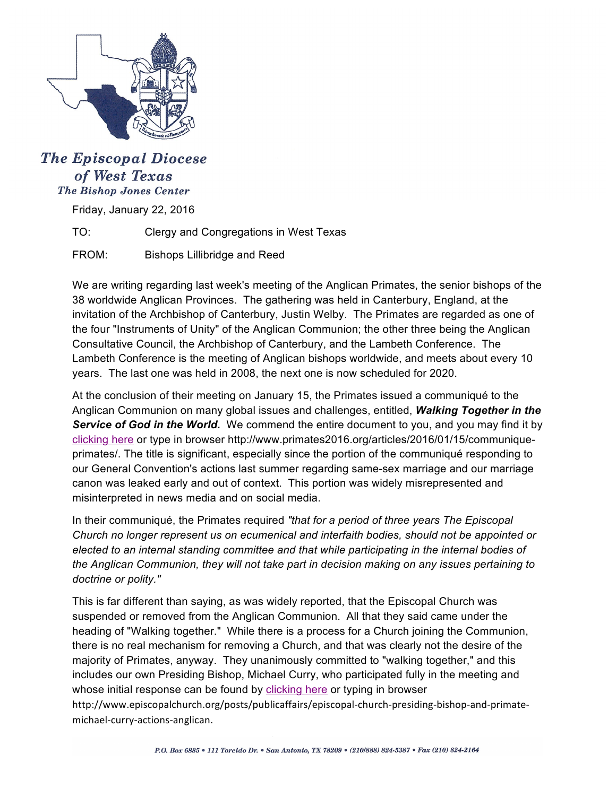

## **The Episcopal Diocese** of West Texas **The Bishop Jones Center**

Friday, January 22, 2016

TO: Clergy and Congregations in West Texas

FROM: Bishops Lillibridge and Reed

We are writing regarding last week's meeting of the Anglican Primates, the senior bishops of the 38 worldwide Anglican Provinces. The gathering was held in Canterbury, England, at the invitation of the Archbishop of Canterbury, Justin Welby. The Primates are regarded as one of the four "Instruments of Unity" of the Anglican Communion; the other three being the Anglican Consultative Council, the Archbishop of Canterbury, and the Lambeth Conference. The Lambeth Conference is the meeting of Anglican bishops worldwide, and meets about every 10 years. The last one was held in 2008, the next one is now scheduled for 2020.

At the conclusion of their meeting on January 15, the Primates issued a communiqué to the Anglican Communion on many global issues and challenges, entitled, *Walking Together in the Service of God in the World.* We commend the entire document to you, and you may find it by [clicking](http://www.primates2016.org/articles/2016/01/15/communique-primates/) here or type in browser http://www.primates2016.org/articles/2016/01/15/communiqueprimates/. The title is significant, especially since the portion of the communiqué responding to our General Convention's actions last summer regarding same-sex marriage and our marriage canon was leaked early and out of context. This portion was widely misrepresented and misinterpreted in news media and on social media.

In their communiqué, the Primates required *"that for a period of three years The Episcopal Church no longer represent us on ecumenical and interfaith bodies, should not be appointed or elected to an internal standing committee and that while participating in the internal bodies of the Anglican Communion, they will not take part in decision making on any issues pertaining to doctrine or polity."*

This is far different than saying, as was widely reported, that the Episcopal Church was suspended or removed from the Anglican Communion. All that they said came under the heading of "Walking together." While there is a process for a Church joining the Communion, there is no real mechanism for removing a Church, and that was clearly not the desire of the majority of Primates, anyway. They unanimously committed to "walking together," and this includes our own Presiding Bishop, Michael Curry, who participated fully in the meeting and whose initial response can be found by [clicking here](http://www.episcopalchurch.org/posts/publicaffairs/episcopal-church-presiding-bishop-and-primate-michael-curry-actions-anglican) or typing in browser

http://www.episcopalchurch.org/posts/publicaffairs/episcopal-church-presiding-bishop-and-primatemichael-curry-actions-anglican.